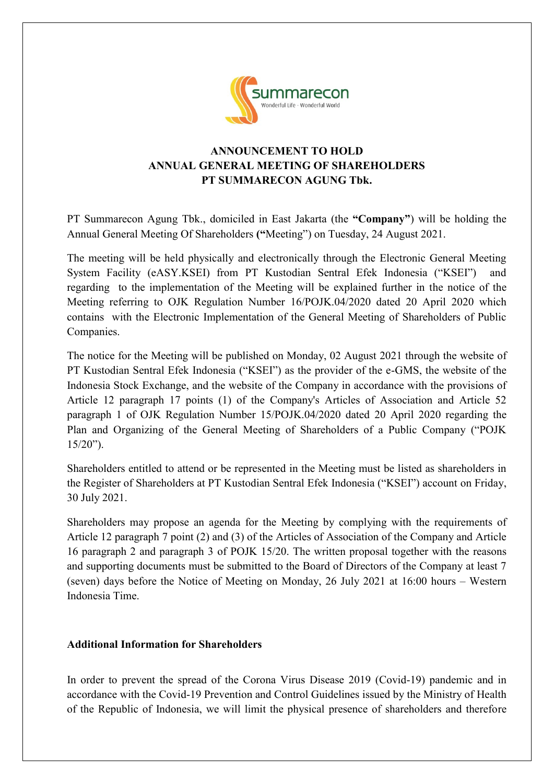

## **ANNOUNCEMENT TO HOLD ANNUAL GENERAL MEETING OF SHAREHOLDERS PT SUMMARECON AGUNG Tbk.**

PT Summarecon Agung Tbk., domiciled in East Jakarta (the **"Company"**) will be holding the Annual General Meeting Of Shareholders **("**Meeting") on Tuesday, 24 August 2021.

The meeting will be held physically and electronically through the Electronic General Meeting System Facility (eASY.KSEI) from PT Kustodian Sentral Efek Indonesia ("KSEI") and regarding to the implementation of the Meeting will be explained further in the notice of the Meeting referring to OJK Regulation Number 16/POJK.04/2020 dated 20 April 2020 which contains with the Electronic Implementation of the General Meeting of Shareholders of Public Companies.

The notice for the Meeting will be published on Monday, 02 August 2021 through the website of PT Kustodian Sentral Efek Indonesia ("KSEI") as the provider of the e-GMS, the website of the Indonesia Stock Exchange, and the website of the Company in accordance with the provisions of Article 12 paragraph 17 points (1) of the Company's Articles of Association and Article 52 paragraph 1 of OJK Regulation Number 15/POJK.04/2020 dated 20 April 2020 regarding the Plan and Organizing of the General Meeting of Shareholders of a Public Company ("POJK 15/20").

Shareholders entitled to attend or be represented in the Meeting must be listed as shareholders in the Register of Shareholders at PT Kustodian Sentral Efek Indonesia ("KSEI") account on Friday, 30 July 2021.

Shareholders may propose an agenda for the Meeting by complying with the requirements of Article 12 paragraph 7 point (2) and (3) of the Articles of Association of the Company and Article 16 paragraph 2 and paragraph 3 of POJK 15/20. The written proposal together with the reasons and supporting documents must be submitted to the Board of Directors of the Company at least 7 (seven) days before the Notice of Meeting on Monday, 26 July 2021 at 16:00 hours – Western Indonesia Time.

## **Additional Information for Shareholders**

In order to prevent the spread of the Corona Virus Disease 2019 (Covid-19) pandemic and in accordance with the Covid-19 Prevention and Control Guidelines issued by the Ministry of Health of the Republic of Indonesia, we will limit the physical presence of shareholders and therefore